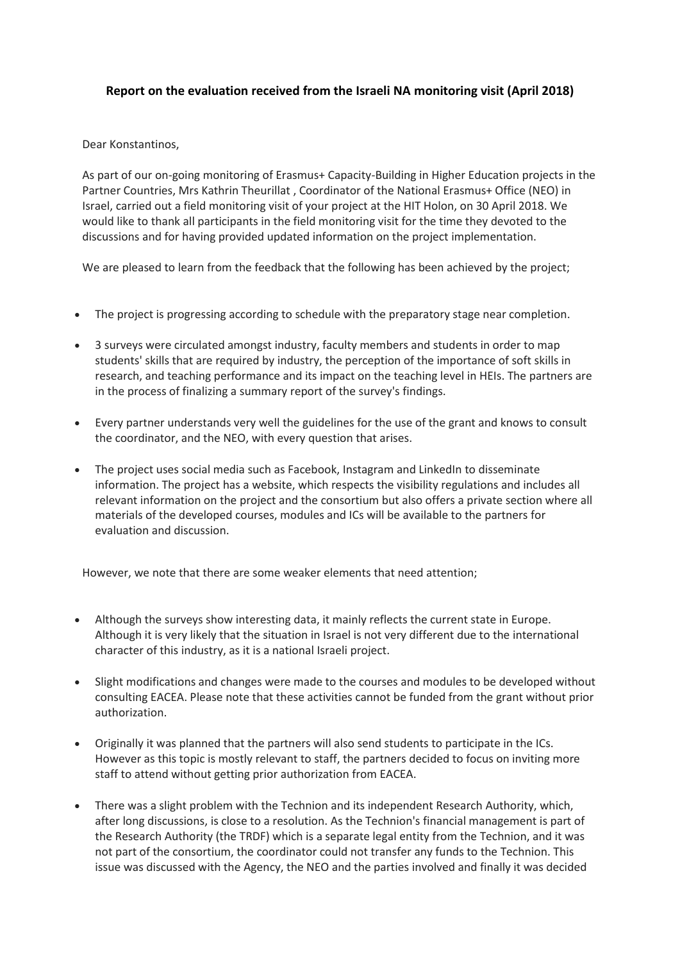## **Report on the evaluation received from the Israeli NA monitoring visit (April 2018)**

Dear Konstantinos,

As part of our on-going monitoring of Erasmus+ Capacity-Building in Higher Education projects in the Partner Countries, Mrs Kathrin Theurillat , Coordinator of the National Erasmus+ Office (NEO) in Israel, carried out a field monitoring visit of your project at the HIT Holon, on 30 April 2018. We would like to thank all participants in the field monitoring visit for the time they devoted to the discussions and for having provided updated information on the project implementation.

We are pleased to learn from the feedback that the following has been achieved by the project;

- The project is progressing according to schedule with the preparatory stage near completion.
- 3 surveys were circulated amongst industry, faculty members and students in order to map students' skills that are required by industry, the perception of the importance of soft skills in research, and teaching performance and its impact on the teaching level in HEIs. The partners are in the process of finalizing a summary report of the survey's findings.
- Every partner understands very well the guidelines for the use of the grant and knows to consult the coordinator, and the NEO, with every question that arises.
- The project uses social media such as Facebook, Instagram and LinkedIn to disseminate information. The project has a website, which respects the visibility regulations and includes all relevant information on the project and the consortium but also offers a private section where all materials of the developed courses, modules and ICs will be available to the partners for evaluation and discussion.

However, we note that there are some weaker elements that need attention;

- Although the surveys show interesting data, it mainly reflects the current state in Europe. Although it is very likely that the situation in Israel is not very different due to the international character of this industry, as it is a national Israeli project.
- Slight modifications and changes were made to the courses and modules to be developed without consulting EACEA. Please note that these activities cannot be funded from the grant without prior authorization.
- Originally it was planned that the partners will also send students to participate in the ICs. However as this topic is mostly relevant to staff, the partners decided to focus on inviting more staff to attend without getting prior authorization from EACEA.
- There was a slight problem with the Technion and its independent Research Authority, which, after long discussions, is close to a resolution. As the Technion's financial management is part of the Research Authority (the TRDF) which is a separate legal entity from the Technion, and it was not part of the consortium, the coordinator could not transfer any funds to the Technion. This issue was discussed with the Agency, the NEO and the parties involved and finally it was decided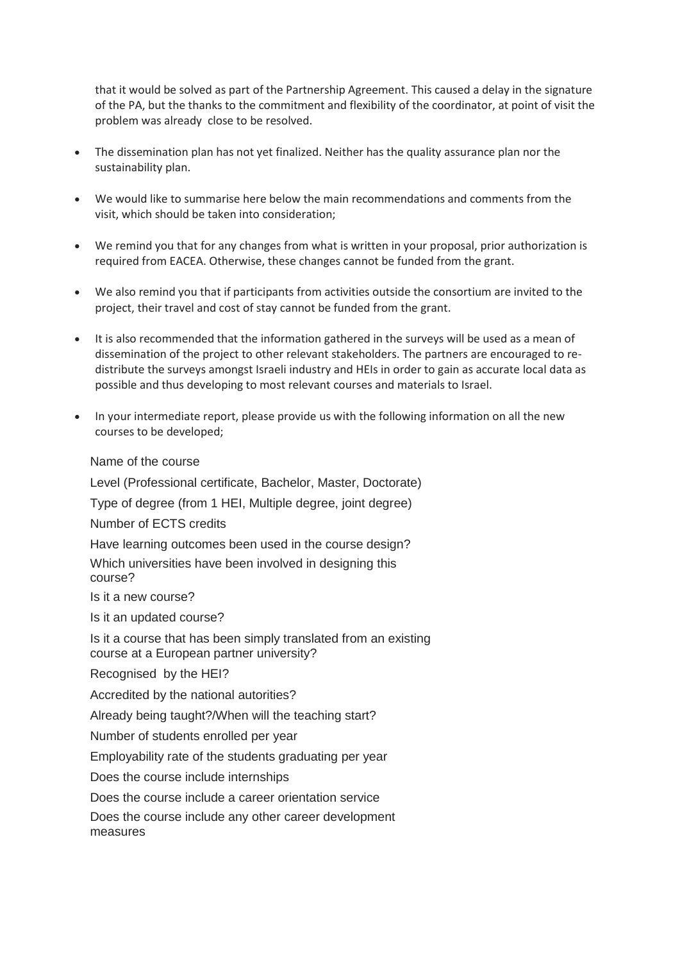that it would be solved as part of the Partnership Agreement. This caused a delay in the signature of the PA, but the thanks to the commitment and flexibility of the coordinator, at point of visit the problem was already close to be resolved.

- The dissemination plan has not yet finalized. Neither has the quality assurance plan nor the sustainability plan.
- We would like to summarise here below the main recommendations and comments from the visit, which should be taken into consideration;
- We remind you that for any changes from what is written in your proposal, prior authorization is required from EACEA. Otherwise, these changes cannot be funded from the grant.
- We also remind you that if participants from activities outside the consortium are invited to the project, their travel and cost of stay cannot be funded from the grant.
- It is also recommended that the information gathered in the surveys will be used as a mean of dissemination of the project to other relevant stakeholders. The partners are encouraged to redistribute the surveys amongst Israeli industry and HEIs in order to gain as accurate local data as possible and thus developing to most relevant courses and materials to Israel.
- In your intermediate report, please provide us with the following information on all the new courses to be developed;

Name of the course

Level (Professional certificate, Bachelor, Master, Doctorate)

Type of degree (from 1 HEI, Multiple degree, joint degree)

Number of ECTS credits

Have learning outcomes been used in the course design?

Which universities have been involved in designing this course?

Is it a new course?

Is it an updated course?

Is it a course that has been simply translated from an existing course at a European partner university?

Recognised by the HEI?

Accredited by the national autorities?

Already being taught?/When will the teaching start?

Number of students enrolled per year

Employability rate of the students graduating per year

Does the course include internships

Does the course include a career orientation service

Does the course include any other career development measures